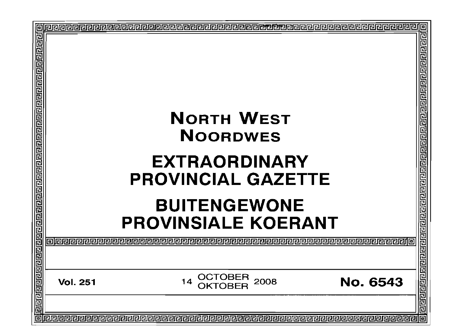|                                                                                                                      | Ō                                                           |    |  |  |  |
|----------------------------------------------------------------------------------------------------------------------|-------------------------------------------------------------|----|--|--|--|
| <u> गुग्राग्राग्राग्राग्राण को प्राप्ता ग्राग्राग्राग्राग्राग्राग्राग्राण्डाग्राग्राग्राग्राग्राग्राग्राग्राग्रा</u> |                                                             | 름  |  |  |  |
|                                                                                                                      | <b>NORTH WEST</b>                                           |    |  |  |  |
|                                                                                                                      | <b>NOORDWES</b>                                             |    |  |  |  |
|                                                                                                                      |                                                             |    |  |  |  |
|                                                                                                                      | <b>EXTRAORDINARY</b>                                        |    |  |  |  |
|                                                                                                                      | <b>PROVINCIAL GAZETTE</b>                                   | 尼厄 |  |  |  |
|                                                                                                                      |                                                             |    |  |  |  |
|                                                                                                                      | <b>BUITENGEWONE</b><br><b>PROVINSIALE KOERANT</b>           |    |  |  |  |
|                                                                                                                      |                                                             |    |  |  |  |
|                                                                                                                      | OCTOBER<br><b>No. 6543</b><br>2008<br>14<br><b>Vol. 251</b> |    |  |  |  |
|                                                                                                                      |                                                             |    |  |  |  |
|                                                                                                                      |                                                             | lo |  |  |  |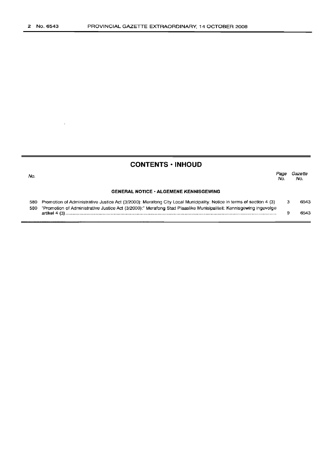$\bar{e}$ 

## **CONTENTS ·INHOUD**

| No. |                                                                                                                          | Pace<br>No. | Gazette<br>No. |  |
|-----|--------------------------------------------------------------------------------------------------------------------------|-------------|----------------|--|
|     | <b>GENERAL NOTICE • ALGEMENE KENNISGEWING</b>                                                                            |             |                |  |
|     | 580 Promotion of Administrative Justice Act (3/2000): Merafong City Local Municipality: Notice in terms of section 4 (3) |             | 6543           |  |
| 5B0 | "Promotion of Administrative Justice Act (3/2000):" Merafong Stad Plaaslike Munisipaliteit: Kennisgewing ingevolge       |             |                |  |

| --- | . Only the magazine rate of the control of the controller of the controller internal parties in the magazine of magazine of the controller of the controller of the controller of the controller of the controller of the cont |      |
|-----|--------------------------------------------------------------------------------------------------------------------------------------------------------------------------------------------------------------------------------|------|
|     | artikel 4 (3'                                                                                                                                                                                                                  | 6543 |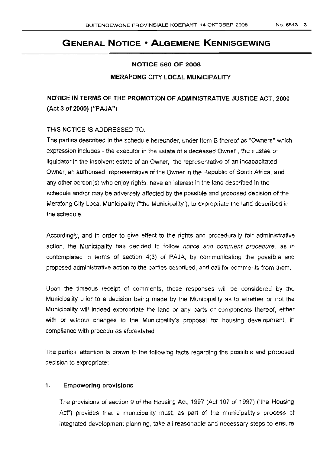# **GENERAL NOTICE • ALGEMENE KENNISGEWING**

#### NOTICE 580 OF 2008

### MERAFONG CITY LOCAL MUNICIPALITY

NOTICE IN TERMS OF THE PROMOTION OF ADMINISTRATIVE JUSTICE ACT, 2000 (Act 3 of 2000) ("PAJA")

### THIS NOTICE IS ADDRESSED TO:

The parties described in the schedule hereunder, under Item 8 thereof as "Owners" which expression includes - the executor in the estate of a deceased Owner, the trustee or liquidator in the insolvent estate of an Owner, the representative of an incapacitated Owner, an authorised representative of the Owner in the Republic of South Africa, and any other person(s) who enjoy rights, have an interest in the land described in the schedule and/or may be adversely affected by the possible and proposed decision of the Merafong City Local Municipality ("the Municipality"), to expropriate the land described in the schedule.

Accordingly, and in order to give effect to the rights and procedurally fair administrative action, the Municipality has decided to follow notice and comment procedure, as in contemplated in terms of section 4(3) of PAJA, by communicating the possible and proposed administrative action to the parties described, and call for comments from them.

Upon the timeous receipt of comments, those responses wiJl be considered by the Municipality prior to a decision being made by the Municipality as to whether or not the Municipality will indeed expropriate the land or any parts or components thereof, either with or without changes to the Municipality's proposal for housing development, in compliance with procedures aforestated.

The parties' attention is drawn to the following facts regarding the possible and proposed decision to expropriate:

### 1. Empowering provisions

The provisions of section 9 of the Housing Act, 1997 (Act 107 of 1997) ('the Housing Act") provides that a municipality must, as part of the municipality's process of integrated development planning, take all reasonable and necessary steps to ensure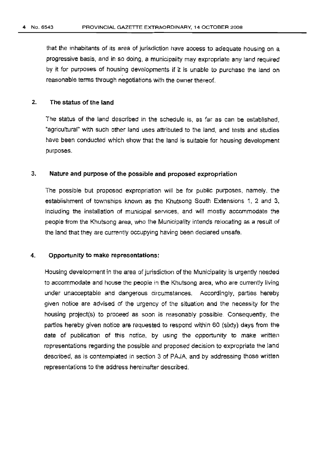that the inhabitants of its area of jurisdiction have access to adequate housing on a progressive basis, and in so doing, a municipality may expropriate any land required by it for purposes of housing developments if it is unable to purchase the land on reasonable terms through negotiations with the owner thereof.

### 2. The status of the land

The status of the land described in the schedule is, as far as can be established, "agricultural" with such other land uses attributed to the land, and tests and studies have been conducted which show that the land is suitable for housing development purposes.

### 3. Nature and purpose of the possible and proposed expropriation

The possible but proposed expropriation will be for public purposes, namely. the establishment of townships known as the Khutsong South Extensions 1, 2 and 3, including the installation of municipal services, and will mostly accommodate the people from the Khutsong area, who the Municipality intends relocating as a result of the land that they are currently occupying having been declared unsafe.

### 4. Opportunity to make representations:

Housing development in the area of jurisdiction of the Municipality is urgently needed to accommodate and house the people in the Khutsong area, who are currently living under unacceptable and dangerous circumstances. Accordingly, parties hereby given notice are advised of the urgency of the situation and the necessity for the housing project(s) to proceed as soon is reasonably possible. Consequently, the parties hereby given notice are requested to respond within 60 (sixty) days from the date of publication of this notice, by using the opportunity to make written representations regarding the possible and proposed decision to expropriate the land described, as is contemplated in section 3 of PAJA, and by addressing those written representations to the address hereinafter described.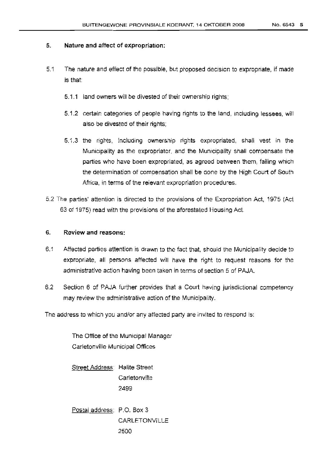### 5. Nature and affect of expropriation:

- 5.1 The nature and effect of the possible, but proposed decision to expropriate, if made is that:
	- 5.1.1 land owners will be divested of their ownership rights:
	- 5.1.2 certain categories of people having rights to the land, including lessees, will also be divested of their rights;
	- 5.1.3 the rights, including ownership rights expropriated, shall vest in the Municipality as the expropriator, and the Municipality shall compensate the parties who have been expropriated, as agreed between them, failing which the determination of compensation shall be done by the High Court of South Africa, in terms of the relevant expropriation procedures.
- 5.2 The parties' attention is directed to the provisions of the Expropriation Act, 1975 (Act 63 of 1975) read with the provisions of the aforestated Housing Act

### 6. Review and reasons:

- 6.1 Affected parties attention is drawn to the fact that, should the Municipality decide to expropriate, all persons affected will have the right to request reasons for the administrative action having been taken in terms of section 5 of PAJA.
- 6.2 Section 6 of PAJA further provides that a Court having jurisdictional competency may review the administrative action of the Municipality.

The address to which you and/or any affected party are invited to respond is:

The Office of the Municipal Manager Carletonville Municipal Offices

Street Address: Halite Street **Carletonville** 2499

Postal address: P.O. Box 3 CARLETONVILLE 2500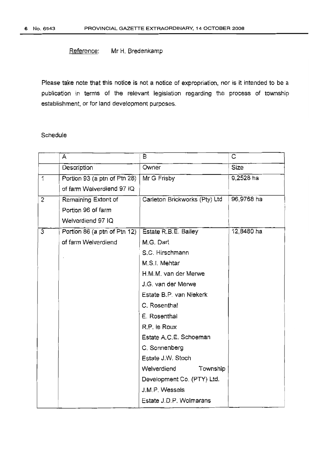### Reference: Mr H. Bredenkamp

Please take note that this notice is not a notice of expropriation, nor is it intended to be a publication in terms of the relevant legislation regarding the process of township establishment, or for land development purposes.

### Schedule

|                | A                            | В                             | C          |
|----------------|------------------------------|-------------------------------|------------|
|                | Description                  | Owner                         | Size       |
| $\mathbf{1}$   | Portion 93 (a ptn of Ptn 28) | Mr G Frisby                   | 9,2528 ha  |
|                | of farm Welverdiend 97 IQ    |                               |            |
| $\overline{c}$ | Remaining Extent of          | Carleton Brickworks (Pty) Ltd | 96,9768 ha |
|                | Portion 96 of farm           |                               |            |
|                | Welverdiend 97 IQ            |                               |            |
| $\overline{3}$ | Portion 86 (a ptn of Ptn 12) | Estate R.B.E. Bailey          | 12,8480 ha |
|                | of farm Welverdiend          | M.G. Dart                     |            |
|                |                              | S.C. Hirschmann               |            |
|                |                              | M.S.I. Mehtar                 |            |
|                |                              | H.M.M. van der Merwe          |            |
|                |                              | J.G. van der Merwe            |            |
|                |                              | Estate B.P. van Niekerk       |            |
|                |                              | C. Rosenthal                  |            |
|                |                              | E. Rosenthal                  |            |
|                |                              | R.P. le Roux                  |            |
|                |                              | Estate A.C.E. Schoeman        |            |
|                |                              | C. Sonnenberg                 |            |
|                |                              | Estate J.W. Stoch             |            |
|                |                              | Township<br>Welverdiend       |            |
|                |                              | Development Co. (PTY) Ltd.    |            |
|                |                              | J.M.P. Wessels                |            |
|                |                              | Estate J.D.P. Wolmarans       |            |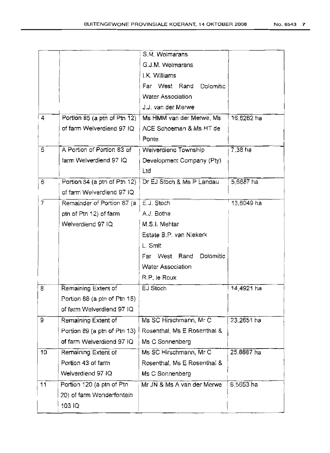|                |                              | S.M. Wolmarans              |            |
|----------------|------------------------------|-----------------------------|------------|
|                |                              | G.J.M. Wolmarans            |            |
|                |                              | I.K. Williams               |            |
|                |                              | Far West Rand<br>Dolomitic  |            |
|                |                              | Water Association           |            |
|                |                              | J.J. van der Merwe          |            |
| $\overline{4}$ | Portion 85 (a ptn of Ptn 12) | Ms HMM van der Merwe, Ms    | 16,6282 ha |
|                | of farm Welverdiend 97 IQ    | ACE Schoeman & Ms HT de     |            |
|                |                              | Ponte                       |            |
| 5              | A Portion of Portion 83 of   | Welverdiend Township        | 7,38 ha    |
|                | farm Welverdiend 97 IQ       | Development Company (Pty)   |            |
|                |                              | Ltd                         |            |
| 6              | Portion 84 (a ptn of Ptn 12) | Dr EJ Stoch & Ms P Landau   | 5,6687 ha  |
|                | of farm Welverdiend 97 IQ    |                             |            |
| $\overline{7}$ | Remainder of Portion 87 (a   | E.J. Stoch                  | 13,6049 ha |
|                | ptn of Ptn 12) of farm       | A.J. Botha                  |            |
|                | Welverdiend 97 IQ            | M.S.I. Mehtar               |            |
|                |                              | Estate B.P. van Niekerk     |            |
|                |                              | L. Smit                     |            |
|                |                              | Far West Rand<br>Dolomitic  |            |
|                |                              | Water Association           |            |
|                |                              | R.P. le Roux                |            |
| 8              | Remaining Extent of          | EJ Stoch                    | 14,4921 ha |
|                | Portion 88 (a ptn of Ptn 15) |                             |            |
|                | of farm Welverdiend 97 IQ    |                             |            |
| 9              | Remaining Extent of          | Ms SC Hirschmann, Mr C      | 23,2651 ha |
|                | Portion 89 (a ptn of Ptn 13) | Rosenthal, Ms E Rosenthal & |            |
|                | of farm Welverdiend 97 IQ    | Ms C Sonnenberg             |            |
| 10             | Remaining Extent of          | Ms SC Hirschmann, Mr C      | 25,8887 ha |
|                | Portion 43 of farm           | Rosenthal, Ms E Rosenthal & |            |
|                | Welverdiend 97 IQ            | Ms C Sonnenberg             |            |
| 11             | Portion 120 (a ptn of Ptn    | Mr JN & Ms A van der Merwe  | 8,5653 ha  |
|                | 20) of farm Wonderfontein    |                             |            |
|                | 103 IQ                       |                             |            |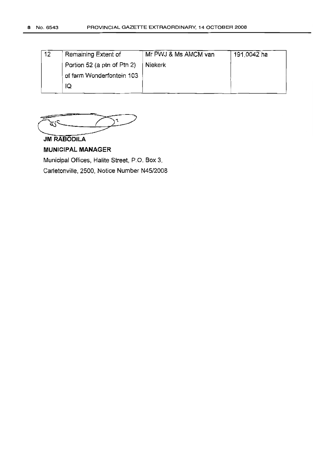| 12 | Remaining Extent of         | Mr PWJ & Ms AMCM van | 191,0042 ha |
|----|-----------------------------|----------------------|-------------|
|    | Portion 52 (a ptn of Ptn 2) | Niekerk              |             |
|    | of farm Wonderfontein 103   |                      |             |
|    | ١Q                          |                      |             |

 $\frac{1}{\sqrt{1-\frac{1}{\sqrt{1-\frac{1}{\sqrt{1-\frac{1}{\sqrt{1-\frac{1}{\sqrt{1-\frac{1}{\sqrt{1-\frac{1}{\sqrt{1-\frac{1}{\sqrt{1-\frac{1}{\sqrt{1-\frac{1}{\sqrt{1-\frac{1}{\sqrt{1-\frac{1}{\sqrt{1-\frac{1}{\sqrt{1-\frac{1}{\sqrt{1-\frac{1}{\sqrt{1-\frac{1}{\sqrt{1-\frac{1}{\sqrt{1-\frac{1}{\sqrt{1-\frac{1}{\sqrt{1-\frac{1}{\sqrt{1-\frac{1}{\sqrt{1-\frac{1}{\sqrt{1-\frac{1}{\sqrt{1-\frac{1}{\sqrt{1-\frac{1$ 

**JM RABODILA**

### **MUNICIPAL MANAGER**

Municipal Offices, Halite Street, P.O. Box 3,

Carletonville, 2500, Notice Number N45/2008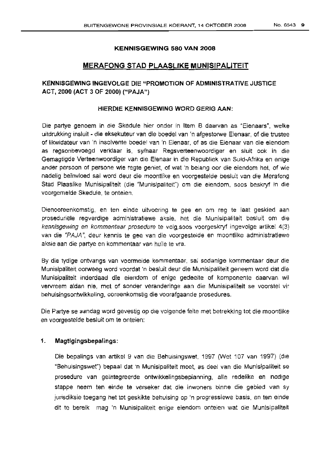### KENNISGEWING 580 VAN 2008

### MERAFONG STAD PLAASLIKE MUNISIPALITEIT

### KENNISGEWING INGEVOLGE DIE "PROMOTION OF ADMINISTRATIVE JUSTICE ACT, 2000 (ACT 3 OF 2000) ("PAJA")

#### HIERDIE KENNISGEWING WORD GERIG AAN:

Die partye genoem in die Skedule hier onder in Item B daarvan as "Eienaars", welke uitdrukking insluit - die eksekuteur van die boedel van 'n afgestorwe Eienaar, of die trustee of Iikwidateur van 'n insolvente boedel van 'n Eienaar, of as die Eienaar van die eiendom as regsonbevoegd verklaar is, sy/haar Regsverteenwoordiger en slult ook in die Gemagtigde Verteenwoordiger van die Eienaar in die Republiek van Suid-Afrika en enige ander persoon of persone wie regte geniet, of wat 'n belang oor die eiendom het, of wie nadelig be'invloed sal word deur die moontlike en voorgestelde besluit van die Merafong Stad Plaaslike Munisipaliteit (die "Munisipaliteit") om die eiendom, soos beskryf in die voorgemelde Skedule, te onteien.

Dienooreenkomstig, en ten elnde uitvoering te gee en om reg te laat geskied aan proseduriele regverdige administratiewe aksie, het die Munisipaliteit besluit om die kennisgewing en kommentaar prosedure te volq.soos voorgeskryf ingevolge artikel 4(3) van die "PAJA ", deur kennis te gee van die voorgestelde en rnoontlike administratiewe aksie aan die partye en kommentaar van hulle te vra.

By die tydige ontvangs van voormelde kommentaar, sal sodanige kommentaar deur die Munisipaliteit oorweeg word voordat 'n besluit deur die Munisipaliteit geneem word dat die Munisipaliteit inderdaad die eiendom of enige gedeelte of komponente daarvan wi! vervreem aldan nie, met of sender veranderinge aan die Munisipaliteit se voorstel vir behuisingsontwikkeling, ooreenkomstig die voorafgaande prosedures,

Die Partye se aandag word gevestig op die volgende feite met betrekking tot die moontllke en voorgestelde besluit om te onteien:

### 1. Magtigingsbepalings:

Die bepalings van artikel 9 van die Behuisingswet, 1997 (Wet 107 van 1997) (die "Behuisinqswet") bepaal dat 'n Munisipaliteit moet, as deel van die Munisipaliteit se prosedure van ge"integreerde ontwikkelingsbeplanning, aile redelike en nodige stappe neem ten einde te verseker oat die inwoners binne die gebied van sy jurisdiksie toegang het tot geskikte behuising op 'n progressiewe basis, en ten ernoe dit te bereik mag 'n Munisipaliteit enige eiendom onteien wat die Munisipaliteit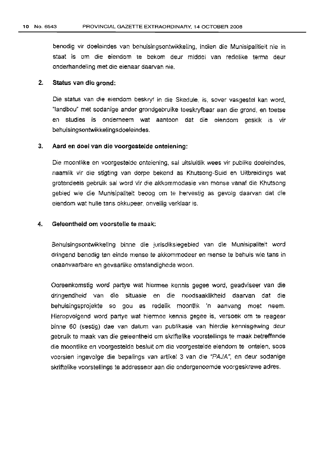benodig vir doeleindes van behuisingsontwikkeling, indien die Munisipalitieit nie in staat is om die eiendom te oekom deur rnlddel van redelike terme deur onderhandeling met die eienaar daarvan nie.

### 2. Status van die grond:

Die status van die eiendom beskryf in die Skedule, is, sover vasgestel kan word, "Iandbou" met sodanige ander grondgebruike toeskryfbaar aan die grand, en toetse en studies is onderneem wat aantoon dat die eiendom geskik is vir behuisingsontwikkelingsdoeleindes.

#### 3. Aard en doel van die voorgestelde onteiening:

Die moontlike en voorgestelde onteiening, sal uitsluitlik wees vir publike dceleindes, naamlik vir die stigting van dorpe bekend as Khutsong-Suid en Uitbreidings wat grotendeels gebruik sal word vir die akkommodasie van rnense vanaf die Khutsong gebied wie die Munisipaliteit beoog om te hervestig as gevolg daarvan dat die eiendom wat hulle tans okkupeer, onveilig verklaar is.

#### 4. Geleentheid om voorstelle te maak:

Behuisingsontwikkeling binne die jurisdiksiegebied van die Munisipaliteit word dringend benodig ten einde mense te akkornrnodeer en mense te behuis wle tans in onaanvaarbare en gevaarlike omstandighede woan.

Ooreenkomstig word partye wat hiermee kennis gegee word, geadviseer van die dringendheid van die situasie en die noodsaaklikheid caarvan dat die behuisingsprojekte so gou as redelik moontlik 'n aanvang moet neem. Hieropvolgend word partye wat hiermee kennis gegee is, versoek om te reageer binne 60 (sestig) dae van datum van publikasie van hierdie kennisgewing deur gebruik te maak van die geleentheid om skriftelike voorstellings te rnaak betreffende die moontlike en voorgestelde besluit om die voorgestelde eiendom te ontelen, soos voorslen ingevolge die bepalings van artikel 3 van die "PAJA", en deur sodanige skriftelike voorstellings te addresseer aan die ondergenoemde voorgeskrewe adres.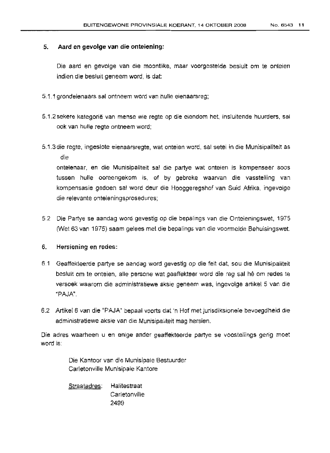### 5. Aard en gevolge van die onteiening:

Die aard en gevolge van die moontlike, maar voorgestelde beslult om te onteien indien die besluit geneem word, is dat:

- 5.1.1 grondeienaars sal ontneern word van hulle eienaarsreg;
- 5.1.2 sekere kateqorie van mense wie regte op die eiendom net, insluitende huurders, sal ook van bulle regte ontneem word;
- 5.1.3 die regte, ingeslote eienaarsregte, wat anteien word, sal setel in die Munisipaliteit as die onteienaar, en die Munisipaliteit sal die partye wat onteien is kompenseer soos

tussen hu'le ooreengekom is, of by gebreke waarvan die vasstelling van kompensasie gedoen sal word deur die Hooggeregshof van Suid Afrika, ingevolge die relevante onteieningsprosedures;

5.2 Die Partye se aandaq word gevestig op die bepafings van die Onteieningswet, 1975 0Net 63 van 1975) saam gelees met die bepalings van die voormeJde Behuisingswet.

### 6. Hersiening en redes:

- 61 Geaffekteerde partye se aandag word gevestig op die feit cat, sou die Munisipaliteit besluit om te onteien, aile persons wat geaffekteer word die reg sal he om redes te versoek waarorn die administratiewe aksie geneem was, ingevolge artikel 5 van die "PAJA".
- 6.2 Artikel 6 van die "PAJA" bepaal voorts dat 'n Hof met jurisdiksionele bevoegdheid die administratiewe aksie van die Munisipaliteit mag hersien.

Die adres waarheen u en enige ander geaffekteerde partye se voostellings gerig moet word is:

> Die Kantoor van die Munisipale Bestuurder Carletonville Munlsipale Kantore

Straatadres: Halitestraat **Carletonville** 2499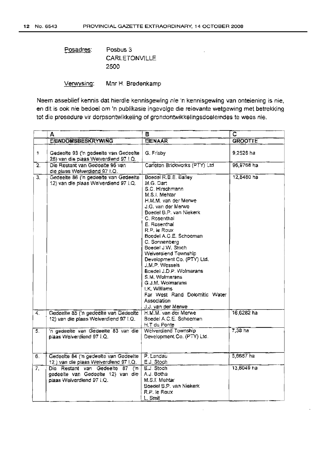Posadres: Posbus 3 CARLETONVILLE 2500

Verwysing: Mnr H. Bredenkarnp

Neem asseblief kennis dat hierdie kennisgewing nie 'n kennisgewing van onteiening is nie, en dit is ook nie bedoel om 'n publikasie ingevolge die relevante wetgewing met betrekklnq tot die prosedure vir dorpsontwikkeling of grondontwikkelingsdoeleindes te wees nie.

|                  | A                                                                                                 | в                                                                                                                                                                                                                                                                                                                                                                                                                                                                                                 | ਟ              |
|------------------|---------------------------------------------------------------------------------------------------|---------------------------------------------------------------------------------------------------------------------------------------------------------------------------------------------------------------------------------------------------------------------------------------------------------------------------------------------------------------------------------------------------------------------------------------------------------------------------------------------------|----------------|
|                  | <b>EIENDOMSBESKRYWING</b>                                                                         | <b>EIENAAR</b>                                                                                                                                                                                                                                                                                                                                                                                                                                                                                    | <b>GROOTTE</b> |
| 1                | Gedeelte 93 ('n gedeelte van Gedeelte<br>28) van die plaas Welverdiend 97 I.Q.                    | G. Frisby                                                                                                                                                                                                                                                                                                                                                                                                                                                                                         | 9.2528 ha      |
| $\overline{2}$   | Die Restant van Gedeelte 96 van<br>die plaas Welverdiend 97 I.Q.                                  | Carleton Brickworks (PTY) Ltd                                                                                                                                                                                                                                                                                                                                                                                                                                                                     | 96,9768 ha     |
| 3 <sub>1</sub>   | Gedeelte 86 ('n gedeelte van Gedeelte<br>12) van die plaas Welverdiend 97 LQ.                     | Boedel R.B.E. Bailey<br>M.G. Dart<br>S.C. Hirschmann<br>M.S.I. Mehtar<br>H.M.M. van der Merwe-<br>J.G. van der Merwel<br>Boedel B.P. van Niekerk<br>C. Rosenthal<br>E. Rosenthal<br>R.P. le Roux<br>Boedel A.C.E. Schoeman<br>C. Sonnenberg<br>Boedel J.W. Stoch<br>Weiverdiend Township<br>Development Co. (PTY) Ltd.<br>J.M.P. Wessels<br>Boedel J.D.P. Wolmarans<br>S.M. Wolmarans<br>G.J.M. Wolmarans<br>I.K. Williams<br>Far West Rand Dolomitic Water<br>Association<br>J.J. van der Merwel | $12,8480$ ha   |
| 4.               | Gedeelte 85 ('n gedeelte van Gedeelte<br>12) van die plaas Welverdiend 97 I.Q.                    | H.M.M. van der Merwe<br>Boedel A.C.E. Schoeman                                                                                                                                                                                                                                                                                                                                                                                                                                                    | 16,6282 ha     |
| 5.               | 'n gedeelte van Gedeelte 83 van die<br>plaas Welverdiend 97 I.Q.                                  | H.T du Ponte<br>Welverdiend Township<br>Development Co. (PTY) Ltd.                                                                                                                                                                                                                                                                                                                                                                                                                                | $7,38$ ha      |
| $\overline{6}$ . | Gedeelte 84 ('n gedeelte van Gedeelte<br>12) van die plaas Weiverdiend 97 I.Q.                    | P. Landau<br>E.J. Stoch                                                                                                                                                                                                                                                                                                                                                                                                                                                                           | $5,6687$ ha    |
| $\overline{7}$ . | Die Restant van Gedeelte 87 ('n<br>gedeelte van Gedeelte 12) van die<br>plaas Welverdiend 97 I.Q. | E.J. Stoch<br>A.J. Botha<br>M.S.I. Mehtar<br>Boedel B.P. van Niekerk<br>R.P. le Roux<br>L. Smit                                                                                                                                                                                                                                                                                                                                                                                                   | 13,6049 ha     |